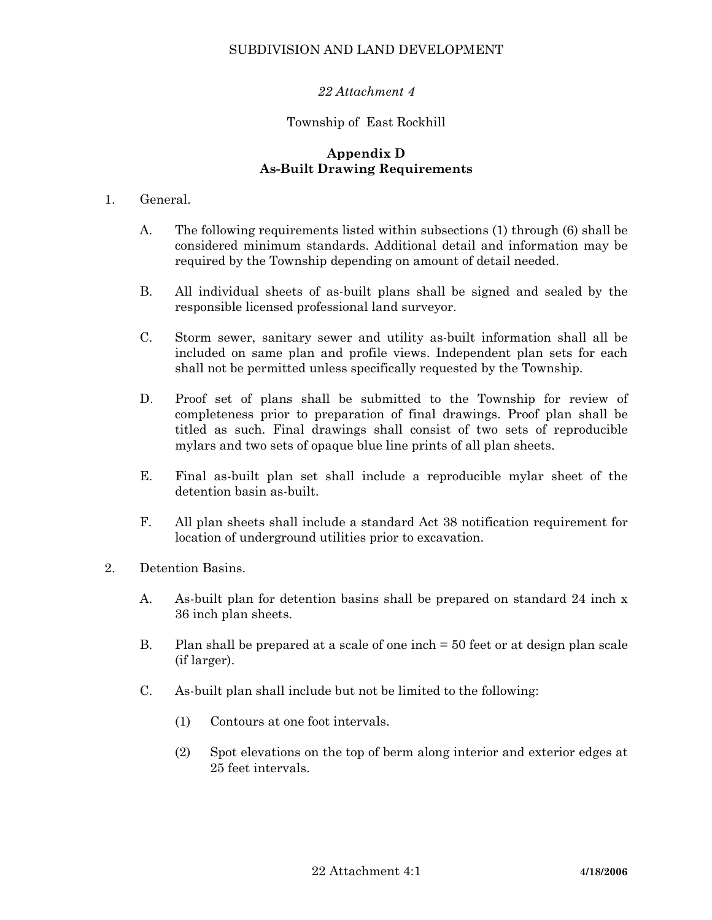# SUBDIVISION AND LAND DEVELOPMENT

# *22 Attachment 4*

## Township of East Rockhill

### **Appendix D As-Built Drawing Requirements**

#### 1. General.

- A. The following requirements listed within subsections (1) through (6) shall be considered minimum standards. Additional detail and information may be required by the Township depending on amount of detail needed.
- B. All individual sheets of as-built plans shall be signed and sealed by the responsible licensed professional land surveyor.
- C. Storm sewer, sanitary sewer and utility as-built information shall all be included on same plan and profile views. Independent plan sets for each shall not be permitted unless specifically requested by the Township.
- D. Proof set of plans shall be submitted to the Township for review of completeness prior to preparation of final drawings. Proof plan shall be titled as such. Final drawings shall consist of two sets of reproducible mylars and two sets of opaque blue line prints of all plan sheets.
- E. Final as-built plan set shall include a reproducible mylar sheet of the detention basin as-built.
- F. All plan sheets shall include a standard Act 38 notification requirement for location of underground utilities prior to excavation.
- 2. Detention Basins.
	- A. As-built plan for detention basins shall be prepared on standard 24 inch x 36 inch plan sheets.
	- B. Plan shall be prepared at a scale of one inch = 50 feet or at design plan scale (if larger).
	- C. As-built plan shall include but not be limited to the following:
		- (1) Contours at one foot intervals.
		- (2) Spot elevations on the top of berm along interior and exterior edges at 25 feet intervals.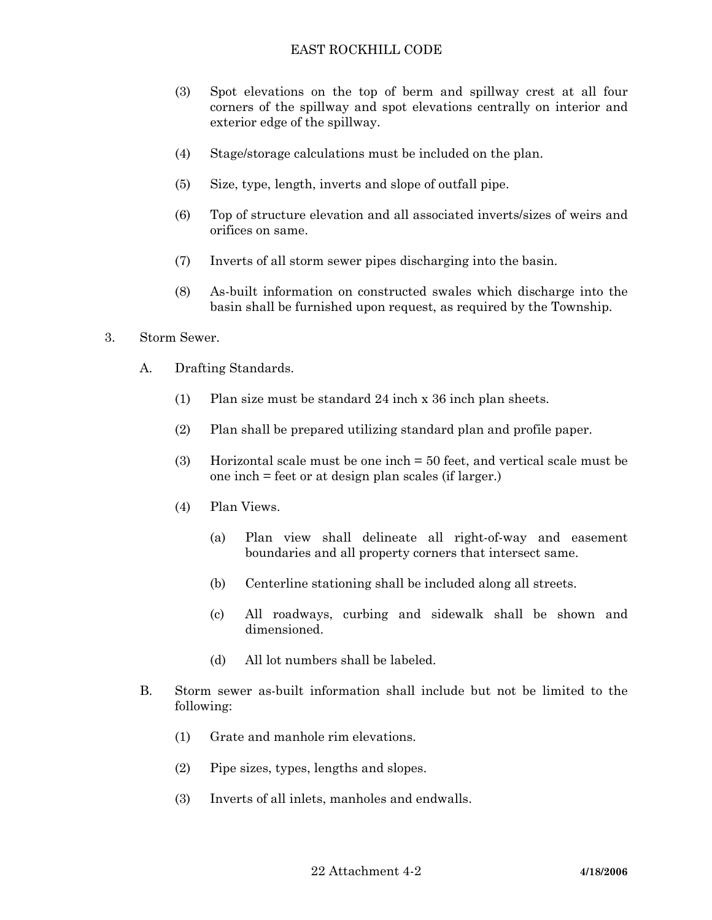- (3) Spot elevations on the top of berm and spillway crest at all four corners of the spillway and spot elevations centrally on interior and exterior edge of the spillway.
- (4) Stage/storage calculations must be included on the plan.
- (5) Size, type, length, inverts and slope of outfall pipe.
- (6) Top of structure elevation and all associated inverts/sizes of weirs and orifices on same.
- (7) Inverts of all storm sewer pipes discharging into the basin.
- (8) As-built information on constructed swales which discharge into the basin shall be furnished upon request, as required by the Township.
- 3. Storm Sewer.
	- A. Drafting Standards.
		- (1) Plan size must be standard 24 inch x 36 inch plan sheets.
		- (2) Plan shall be prepared utilizing standard plan and profile paper.
		- (3) Horizontal scale must be one inch = 50 feet, and vertical scale must be one inch = feet or at design plan scales (if larger.)
		- (4) Plan Views.
			- (a) Plan view shall delineate all right-of-way and easement boundaries and all property corners that intersect same.
			- (b) Centerline stationing shall be included along all streets.
			- (c) All roadways, curbing and sidewalk shall be shown and dimensioned.
			- (d) All lot numbers shall be labeled.
	- B. Storm sewer as-built information shall include but not be limited to the following:
		- (1) Grate and manhole rim elevations.
		- (2) Pipe sizes, types, lengths and slopes.
		- (3) Inverts of all inlets, manholes and endwalls.